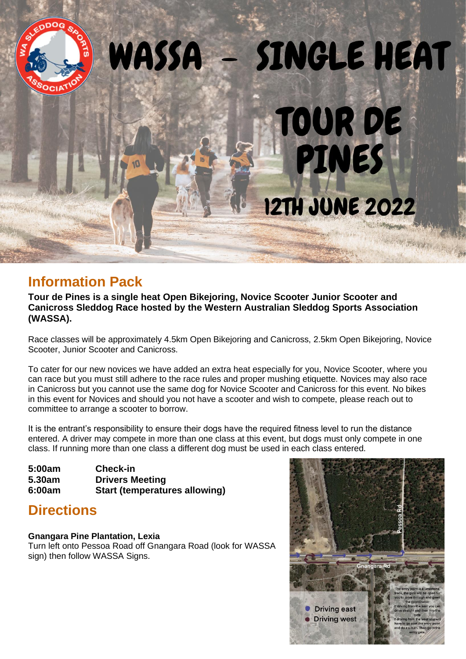

## **Information Pack**

**Tour de Pines is a single heat Open Bikejoring, Novice Scooter Junior Scooter and Canicross Sleddog Race hosted by the Western Australian Sleddog Sports Association (WASSA).**

Race classes will be approximately 4.5km Open Bikejoring and Canicross, 2.5km Open Bikejoring, Novice Scooter, Junior Scooter and Canicross.

To cater for our new novices we have added an extra heat especially for you, Novice Scooter, where you can race but you must still adhere to the race rules and proper mushing etiquette. Novices may also race in Canicross but you cannot use the same dog for Novice Scooter and Canicross for this event. No bikes in this event for Novices and should you not have a scooter and wish to compete, please reach out to committee to arrange a scooter to borrow.

It is the entrant's responsibility to ensure their dogs have the required fitness level to run the distance entered. A driver may compete in more than one class at this event, but dogs must only compete in one class. If running more than one class a different dog must be used in each class entered.

**5:00am Check-in 5.30am Drivers Meeting 6:00am Start (temperatures allowing)**

# **Directions**

### **Gnangara Pine Plantation, Lexia**

Turn left onto Pessoa Road off Gnangara Road (look for WASSA sign) then follow WASSA Signs.

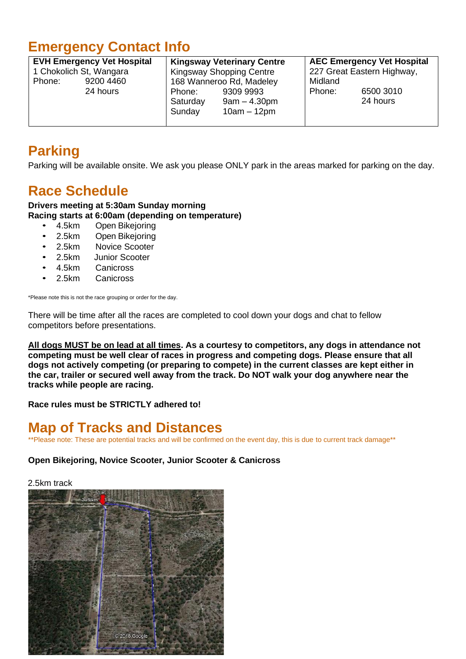# **Emergency Contact Info**

| <b>EVH Emergency Vet Hospital</b> |           | <b>Kingsway Veterinary Centre</b> |                                              | <b>AEC Emergency Vet Hospital</b> |                       |
|-----------------------------------|-----------|-----------------------------------|----------------------------------------------|-----------------------------------|-----------------------|
| 1 Chokolich St, Wangara           |           | <b>Kingsway Shopping Centre</b>   |                                              | 227 Great Eastern Highway,        |                       |
| Phone:                            | 9200 4460 | 168 Wanneroo Rd, Madeley          |                                              | Midland                           |                       |
|                                   | 24 hours  | Phone:<br>Saturday<br>Sunday      | 9309 9993<br>$9am - 4.30pm$<br>$10am - 12pm$ | Phone:                            | 6500 3010<br>24 hours |

# **Parking**

Parking will be available onsite. We ask you please ONLY park in the areas marked for parking on the day.

# **Race Schedule**

**Drivers meeting at 5:30am Sunday morning Racing starts at 6:00am (depending on temperature)**

- 4.5km Open Bikejoring
- 2.5km Open Bikejoring
- 2.5km Novice Scooter
- 2.5km Junior Scooter
- 4.5km Canicross<br>2.5km Canicross
- **Canicross**

\*Please note this is not the race grouping or order for the day.

There will be time after all the races are completed to cool down your dogs and chat to fellow competitors before presentations.

**All dogs MUST be on lead at all times. As a courtesy to competitors, any dogs in attendance not competing must be well clear of races in progress and competing dogs. Please ensure that all dogs not actively competing (or preparing to compete) in the current classes are kept either in the car, trailer or secured well away from the track. Do NOT walk your dog anywhere near the tracks while people are racing.**

**Race rules must be STRICTLY adhered to!**

### **Map of Tracks and Distances**

\*\*Please note: These are potential tracks and will be confirmed on the event day, this is due to current track damage\*\*

### **Open Bikejoring, Novice Scooter, Junior Scooter & Canicross**

2.5km track